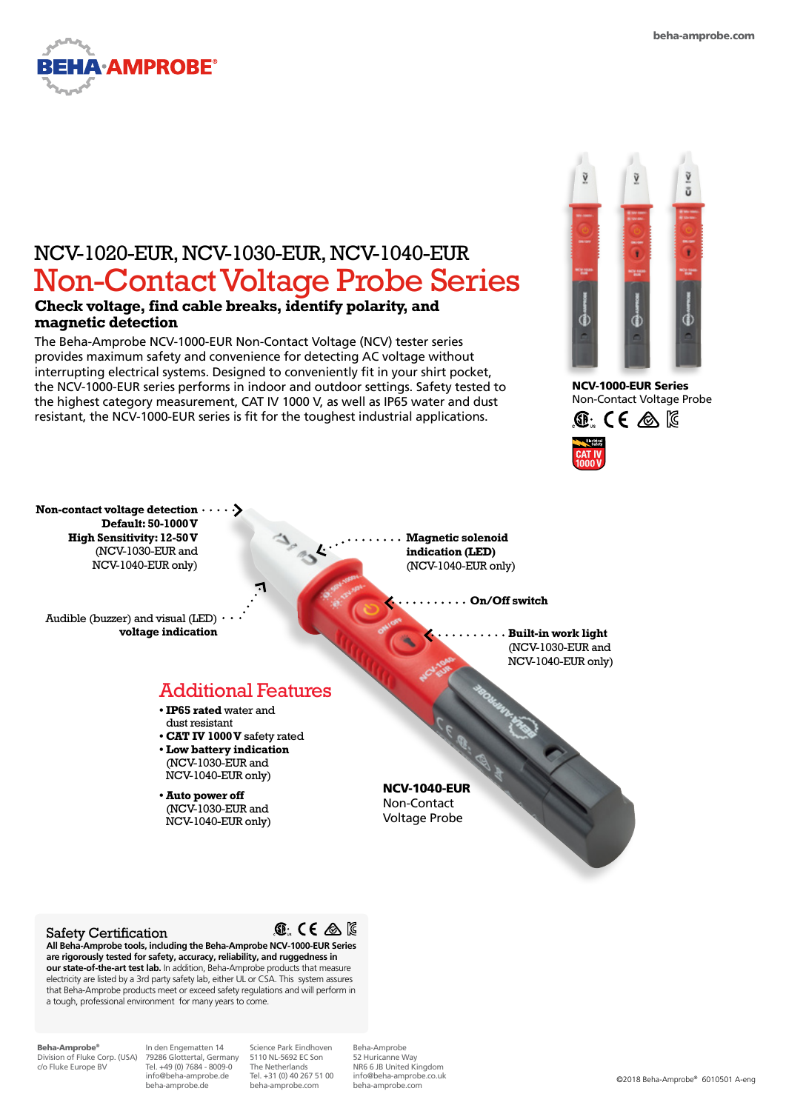

# NCV-1020-EUR, NCV-1030-EUR, NCV-1040-EUR Non-Contact Voltage Probe Series

## **Check voltage, find cable breaks, identify polarity, and magnetic detection**

The Beha-Amprobe NCV-1000-EUR Non-Contact Voltage (NCV) tester series provides maximum safety and convenience for detecting AC voltage without interrupting electrical systems. Designed to conveniently fit in your shirt pocket, the NCV-1000-EUR series performs in indoor and outdoor settings. Safety tested to the highest category measurement, CAT IV 1000 V, as well as IP65 water and dust resistant, the NCV-1000-EUR series is fit for the toughest industrial applications.

35



NCV-1000-EUR Series Non-Contact Voltage Probe



**Non-contact voltage detection Default: 50-1000 V High Sensitivity: 12-50 V**  (NCV-1030-EUR and NCV-1040-EUR only)

Audible (buzzer) and visual (LED)  $\cdot$ **voltage indication**

**Magnetic solenoid indication (LED)**  (NCV-1040-EUR only)

**On/Off switch**

**Built-in work light** (NCV-1030-EUR and NCV-1040-EUR only)

## Additional Features

- **• IP65 rated** water and dust resistant **• CAT IV 1000 V** safety rated
- **• Low battery indication**  (NCV-1030-EUR and NCV-1040-EUR only)

**• Auto power off**  (NCV-1030-EUR and NCV-1040-EUR only) NCV-1040-EUR Non-Contact Voltage Probe

### Safety Certification



**All Beha-Amprobe tools, including the Beha-Amprobe NCV-1000-EUR Series are rigorously tested for safety, accuracy, reliability, and ruggedness in our state-of-the-art test lab.** In addition, Beha-Amprobe products that measure electricity are listed by a 3rd party safety lab, either UL or CSA. This system assures that Beha-Amprobe products meet or exceed safety regulations and will perform in a tough, professional environment for many years to come.

Beha-Amprobe® Division of Fluke Corp. (USA) c/o Fluke Europe BV

In den Engematten 14 79286 Glottertal, Germany Tel. +49 (0) 7684 - 8009-0 info@beha-amprobe.de beha-amprobe.de

Science Park Eindhoven 5110 NL-5692 EC Son The Netherlands Tel. +31 (0) 40 267 51 00 beha-amprobe.com

Beha-Amprobe 52 Huricanne Way NR6 6 JB United Kingdom info@beha-amprobe.co.uk beha-amprobe.com